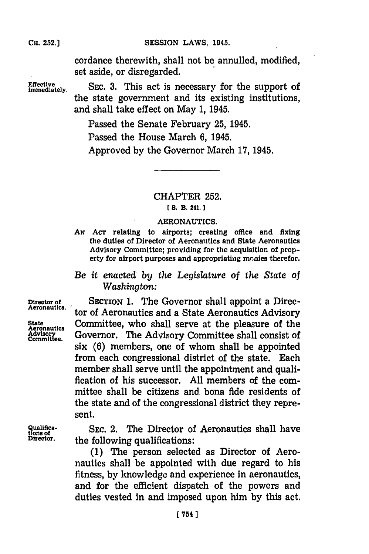SESSION LAWS, 1945.

cordance therewith, shall not be annulled, modified, set aside, or disregarded.

**Effective** SEC. 3. This act is necessary for the support of the state government and its existing institutions, and shall take effect on May **1,** 1945.

> Passed the Senate February **25,** 1945. Passed the House March **6,** 1945. Approved **by** the Governor March **17,** 1945.

# CHAPTER **252.**

## *CS.* **B. 241.]1**

## **AERONAUTICS.**

**AN~ ACT** relating to airports; creating office and fixing the duties of Director of Aeronautics and State Aeronautics Advisory Committee; providing for the acquisition of property for airport purposes and appropriating monies therefor.

## *Be it enacted by the Legislature of the State of Washington:*

**Director of** SECTION 1. The Governor shall appoint a Direc-**Aeronautics.** tor of Aeronautics and a State Aeronautics Advisory State Committee, who shall serve at the pleasure of the Advisory Committee. Governor. The Advisory Committee shall consist of **Adisrre** Governor. The Advisory Committee shall consist of six **(6)** members, one of whom shall be appointed from each congressional district of the state. Each member shall serve until the appointment and qualification of his successor. **All** members of the committee shall be citizens and bona fide residents of the state and of the congressional district they represent.

**Qualifica-** SEC. 2. The Director of Aeronautics shall have tions of the Interior. **Director,** the following qualifications:

> **(1)** The person selected as Director of Aeronautics shall be appointed with due regard to his fitness, **by** knowledge and experience in aeronautics, and for the efficient dispatch of the powers and duties vested in and imposed upon him **by** this act.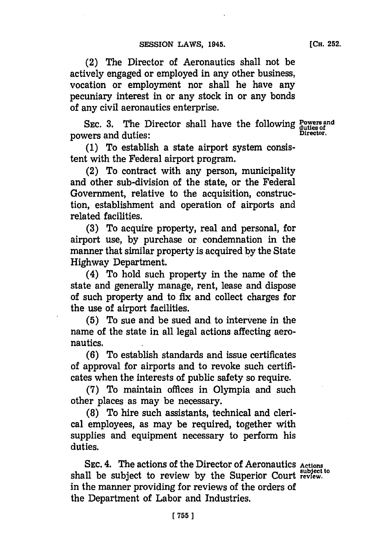(2) The Director of Aeronautics shall not be actively engaged or employed in any other business, vocation or employment nor shall he have any pecuniary interest in or any stock in or any bonds of any civil aeronautics enterprise.

SEC. 3. The Director shall have the following Powers and powers and duties: **Director.** 

**(1)** To establish a state airport system consistent with the Federal airport program.

(2) To contract with any person, municipality and other sub-division of the state, or the Federal Government, relative to the acquisition, construction, establishment and operation of airports and related facilities.

**(3)** To acquire property, real and personal, for airport use, **by** purchase or condemnation in the manner that similar property is acquired **by** the State Highway Department.

(4) To hold such property in the name of the state and generally manage, rent, lease and dispose of such property and to fix and collect charges for the use of airport facilities.

**(5)** To sue and be sued and to intervene in the name of the state in all legal actions affecting aeronautics.

**(6)** To establish standards and issue certificates of approval for airports and to revoke such certificates when the interests of public safety so require.

**(7)** To maintain offices in Olympia and such other places as may be necessary.

**(8)** To hire such assistants, technical and clerical employees, as may be required, together with supplies and equipment necessary to perform his duties.

**SEC.** 4. The actions of the Director of Aeronautics **Actions** shall be subject to review by the Superior Court review. in the manner providing for reviews of the orders of the Department of Labor and Industries.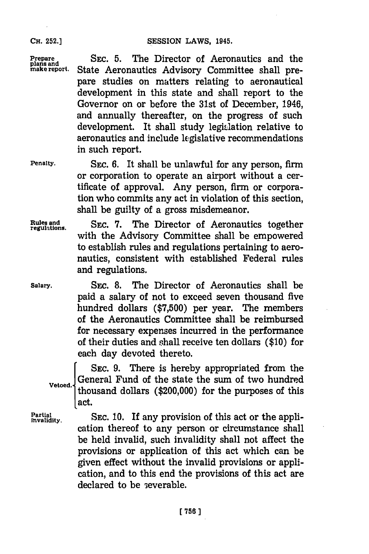#### **CH. 252.]**

SESSION LAWS, 1945.

**Prepare SEC. 5. The Director of Aeronautics and the plans and**  $\sum_{n=1}^{\infty}$  **SEC. 5. The Director of Aeronautics and the make report. State Aeronautics Advisory Committee shall pre-**State Aeronautics Advisory Committee shall prepare studies on matters relating to aeronautical development in this state and shall report to the Governor on or before the 31st of December, 1946, and annually thereafter, on the progress of such development. It shall study legislation relative to aeronautics and include legislative recommendations in such report.

**Penalty. SEC. 6.** It shall be unlawful for any person, firm or corporation to operate an airport without a certificate of approval. Any person, firm or corporation who commits any act in violation of this section, shall be guilty of a gross misdemeanor.

**Rules and** SEC. 7. The Director of Aeronautics together with the Advisory Committee shall be empowered to establish rules and regulations pertaining to aeronautics, consistent with established Federal rules and regulations.

**Salary.** SEC. **8.** The Director of Aeronautics shall be paid a salary of not to exceed seven thousand five hundred dollars **(\$7,500)** per year. The members of the Aeronautics Committee shall be reimbursed for necessary expenses incurred in the performance of their duties and sihall receive ten dollars **(\$10)** for each day devoted thereto.

**SEC. 9.** There is hereby appropriated from the Vetoed. General Fund of the state the sum of two hundred thousand dollars (\$200,000) for the purposes of this act.

Partial<br>myalidity. SEC. 10. If any provision of this act or the application thereof to any person or circumstance shall be held invalid, such invalidity shall not affect the provisions or application of this act which can be given effect without the invalid provisions or application, and to this end the provisions of this act are declared to be severable.